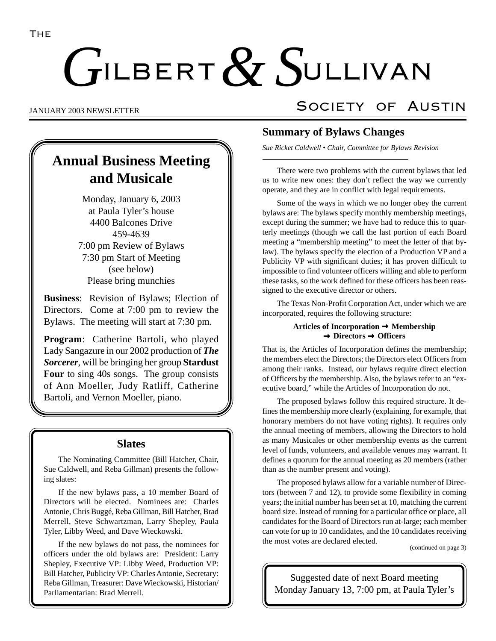# ILBERT  $\alpha$  SULLIVAN  $G$ ILBERT  $& S$

# **Annual Business Meeting and Musicale**

Monday, January 6, 2003 at Paula Tyler's house 4400 Balcones Drive 459-4639 7:00 pm Review of Bylaws 7:30 pm Start of Meeting (see below) Please bring munchies

**Business**: Revision of Bylaws; Election of Directors. Come at 7:00 pm to review the Bylaws. The meeting will start at 7:30 pm.

**Program**: Catherine Bartoli, who played Lady Sangazure in our 2002 production of *The Sorcerer*, will be bringing her group **Stardust Four** to sing 40s songs. The group consists of Ann Moeller, Judy Ratliff, Catherine Bartoli, and Vernon Moeller, piano.

## **Slates**

The Nominating Committee (Bill Hatcher, Chair, Sue Caldwell, and Reba Gillman) presents the following slates:

If the new bylaws pass, a 10 member Board of Directors will be elected. Nominees are: Charles Antonie, Chris Buggé, Reba Gillman, Bill Hatcher, Brad Merrell, Steve Schwartzman, Larry Shepley, Paula Tyler, Libby Weed, and Dave Wieckowski.

If the new bylaws do not pass, the nominees for officers under the old bylaws are: President: Larry Shepley, Executive VP: Libby Weed, Production VP: Bill Hatcher, Publicity VP: Charles Antonie, Secretary: Reba Gillman, Treasurer: Dave Wieckowski, Historian/ Parliamentarian: Brad Merrell.

# JANUARY 2003 NEWSLETTER SOCIETY OF AUSTIN

## **Summary of Bylaws Changes**

*Sue Ricket Caldwell • Chair, Committee for Bylaws Revision*

There were two problems with the current bylaws that led us to write new ones: they don't reflect the way we currently operate, and they are in conflict with legal requirements.

Some of the ways in which we no longer obey the current bylaws are: The bylaws specify monthly membership meetings, except during the summer; we have had to reduce this to quarterly meetings (though we call the last portion of each Board meeting a "membership meeting" to meet the letter of that bylaw). The bylaws specify the election of a Production VP and a Publicity VP with significant duties; it has proven difficult to impossible to find volunteer officers willing and able to perform these tasks, so the work defined for these officers has been reassigned to the executive director or others.

The Texas Non-Profit Corporation Act, under which we are incorporated, requires the following structure:

#### **Articles of Incorporation** → **Membership** → **Directors** → **Officers**

That is, the Articles of Incorporation defines the membership; the members elect the Directors; the Directors elect Officers from among their ranks. Instead, our bylaws require direct election of Officers by the membership. Also, the bylaws refer to an "executive board," while the Articles of Incorporation do not.

The proposed bylaws follow this required structure. It defines the membership more clearly (explaining, for example, that honorary members do not have voting rights). It requires only the annual meeting of members, allowing the Directors to hold as many Musicales or other membership events as the current level of funds, volunteers, and available venues may warrant. It defines a quorum for the annual meeting as 20 members (rather than as the number present and voting).

The proposed bylaws allow for a variable number of Directors (between 7 and 12), to provide some flexibility in coming years; the initial number has been set at 10, matching the current board size. Instead of running for a particular office or place, all candidates for the Board of Directors run at-large; each member can vote for up to 10 candidates, and the 10 candidates receiving the most votes are declared elected.

(continued on page 3)

Suggested date of next Board meeting Monday January 13, 7:00 pm, at Paula Tyler's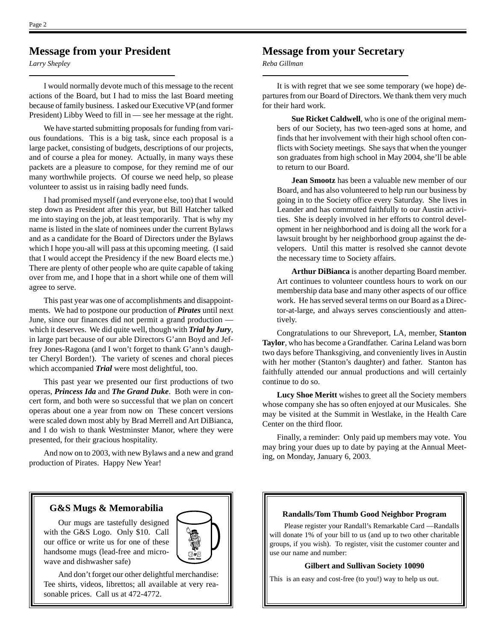## **Message from your President**

*Larry Shepley*

I would normally devote much of this message to the recent actions of the Board, but I had to miss the last Board meeting because of family business. I asked our Executive VP (and former President) Libby Weed to fill in — see her message at the right.

We have started submitting proposals for funding from various foundations. This is a big task, since each proposal is a large packet, consisting of budgets, descriptions of our projects, and of course a plea for money. Actually, in many ways these packets are a pleasure to compose, for they remind me of our many worthwhile projects. Of course we need help, so please volunteer to assist us in raising badly need funds.

I had promised myself (and everyone else, too) that I would step down as President after this year, but Bill Hatcher talked me into staying on the job, at least temporarily. That is why my name is listed in the slate of nominees under the current Bylaws and as a candidate for the Board of Directors under the Bylaws which I hope you-all will pass at this upcoming meeting. (I said that I would accept the Presidency if the new Board elects me.) There are plenty of other people who are quite capable of taking over from me, and I hope that in a short while one of them will agree to serve.

This past year was one of accomplishments and disappointments. We had to postpone our production of *Pirates* until next June, since our finances did not permit a grand production which it deserves. We did quite well, though with *Trial by Jury*, in large part because of our able Directors G'ann Boyd and Jeffrey Jones-Ragona (and I won't forget to thank G'ann's daughter Cheryl Borden!). The variety of scenes and choral pieces which accompanied *Trial* were most delightful, too.

This past year we presented our first productions of two operas, *Princess Ida* and *The Grand Duke*. Both were in concert form, and both were so successful that we plan on concert operas about one a year from now on These concert versions were scaled down most ably by Brad Merrell and Art DiBianca, and I do wish to thank Westminster Manor, where they were presented, for their gracious hospitality.

And now on to 2003, with new Bylaws and a new and grand production of Pirates. Happy New Year!

## **Message from your Secretary**

*Reba Gillman*

It is with regret that we see some temporary (we hope) departures from our Board of Directors. We thank them very much for their hard work.

**Sue Ricket Caldwell**, who is one of the original members of our Society, has two teen-aged sons at home, and finds that her involvement with their high school often conflicts with Society meetings. She says that when the younger son graduates from high school in May 2004, she'll be able to return to our Board.

**Jean Smootz** has been a valuable new member of our Board, and has also volunteered to help run our business by going in to the Society office every Saturday. She lives in Leander and has commuted faithfully to our Austin activities. She is deeply involved in her efforts to control development in her neighborhood and is doing all the work for a lawsuit brought by her neighborhood group against the developers. Until this matter is resolved she cannot devote the necessary time to Society affairs.

**Arthur DiBianca** is another departing Board member. Art continues to volunteer countless hours to work on our membership data base and many other aspects of our office work. He has served several terms on our Board as a Director-at-large, and always serves conscientiously and attentively.

Congratulations to our Shreveport, LA, member, **Stanton Taylor**, who has become a Grandfather. Carina Leland was born two days before Thanksgiving, and conveniently lives in Austin with her mother (Stanton's daughter) and father. Stanton has faithfully attended our annual productions and will certainly continue to do so.

**Lucy Shoe Meritt** wishes to greet all the Society members whose company she has so often enjoyed at our Musicales. She may be visited at the Summit in Westlake, in the Health Care Center on the third floor.

Finally, a reminder: Only paid up members may vote. You may bring your dues up to date by paying at the Annual Meeting, on Monday, January 6, 2003.

#### **G&S Mugs & Memorabilia**

Our mugs are tastefully designed with the G&S Logo. Only \$10. Call our office or write us for one of these handsome mugs (lead-free and microwave and dishwasher safe)



And don't forget our other delightful merchandise:  $\|\cdot\|$  This is an easy and cost-free (to you!) way to help us out. Tee shirts, videos, librettos; all available at very reasonable prices. Call us at 472-4772.

#### **Randalls/Tom Thumb Good Neighbor Program**

Please register your Randall's Remarkable Card —Randalls will donate 1% of your bill to us (and up to two other charitable groups, if you wish). To register, visit the customer counter and use our name and number:

#### **Gilbert and Sullivan Society 10090**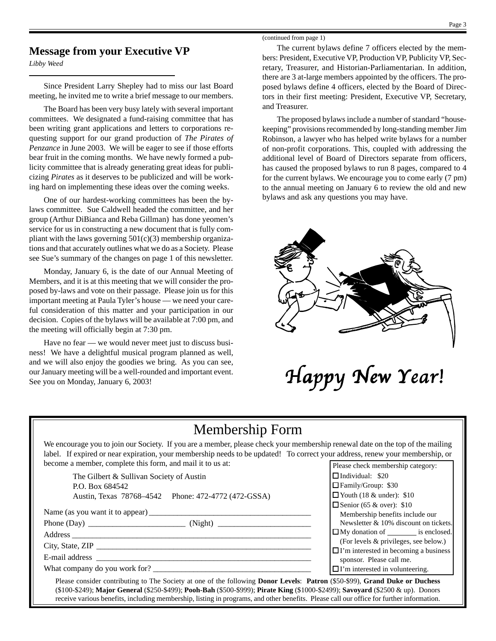## **Message from your Executive VP**

*Libby Weed*

Since President Larry Shepley had to miss our last Board meeting, he invited me to write a brief message to our members.

The Board has been very busy lately with several important committees. We designated a fund-raising committee that has been writing grant applications and letters to corporations requesting support for our grand production of *The Pirates of Penzance* in June 2003. We will be eager to see if those efforts bear fruit in the coming months. We have newly formed a publicity committee that is already generating great ideas for publicizing *Pirates* as it deserves to be publicized and will be working hard on implementing these ideas over the coming weeks.

One of our hardest-working committees has been the bylaws committee. Sue Caldwell headed the committee, and her group (Arthur DiBianca and Reba Gillman) has done yeomen's service for us in constructing a new document that is fully compliant with the laws governing  $501(c)(3)$  membership organizations and that accurately outlines what we do as a Society. Please see Sue's summary of the changes on page 1 of this newsletter.

Monday, January 6, is the date of our Annual Meeting of Members, and it is at this meeting that we will consider the proposed by-laws and vote on their passage. Please join us for this important meeting at Paula Tyler's house — we need your careful consideration of this matter and your participation in our decision. Copies of the bylaws will be available at 7:00 pm, and the meeting will officially begin at 7:30 pm.

Have no fear — we would never meet just to discuss business! We have a delightful musical program planned as well, and we will also enjoy the goodies we bring. As you can see, our January meeting will be a well-rounded and important event. our January meeting will be a well-rounded and important event.<br>See you on Monday, January 6, 2003!

(continued from page 1)

The current bylaws define 7 officers elected by the members: President, Executive VP, Production VP, Publicity VP, Secretary, Treasurer, and Historian-Parliamentarian. In addition, there are 3 at-large members appointed by the officers. The proposed bylaws define 4 officers, elected by the Board of Directors in their first meeting: President, Executive VP, Secretary, and Treasurer.

The proposed bylaws include a number of standard "housekeeping" provisions recommended by long-standing member Jim Robinson, a lawyer who has helped write bylaws for a number of non-profit corporations. This, coupled with addressing the additional level of Board of Directors separate from officers, has caused the proposed bylaws to run 8 pages, compared to 4 for the current bylaws. We encourage you to come early (7 pm) to the annual meeting on January 6 to review the old and new bylaws and ask any questions you may have.



## Membership Form

We encourage you to join our Society. If you are a member, please check your membership renewal date on the top of the mailing label. If expired or near expiration, your membership needs to be updated! To correct your address, renew your membership, or become a member, complete this form, and mail it to us at:

The Gilbert & Sullivan Society of Austin P.O. Box 684542 Austin, Texas 78768–4542 Phone: 472-4772 (472-GSSA)

Name (as you want it to appear) \_\_\_\_\_\_\_\_\_\_\_\_\_\_\_\_\_\_\_\_\_\_\_\_\_\_\_\_\_\_\_\_\_\_\_\_\_\_\_\_

Phone (Day) \_\_\_\_\_\_\_\_\_\_\_\_\_\_\_\_\_\_\_\_\_\_\_\_ (Night) \_\_\_\_\_\_\_\_\_\_\_\_\_\_\_\_\_\_\_\_\_\_\_

Address \_\_\_\_\_\_\_\_\_\_\_\_\_\_\_\_\_\_\_\_\_\_\_\_\_\_\_\_\_\_\_\_\_\_\_\_\_\_\_\_\_\_\_\_\_\_\_\_\_\_\_\_\_\_\_\_\_\_\_

City, State, ZIP \_\_\_\_\_\_\_\_\_\_\_\_\_\_\_\_\_\_\_\_\_\_\_\_\_\_\_\_\_\_\_\_\_\_\_\_\_\_\_\_\_\_\_\_\_\_\_\_\_\_\_\_\_ E-mail address

What company do you work for?

| agaicss, ichew your memocramp, or            |  |  |  |
|----------------------------------------------|--|--|--|
| Please check membership category:            |  |  |  |
| $\Box$ Individual: \$20                      |  |  |  |
| □ Family/Group: \$30                         |  |  |  |
| $\Box$ Youth (18 & under): \$10              |  |  |  |
| $\Box$ Senior (65 & over): \$10              |  |  |  |
| Membership benefits include our              |  |  |  |
| Newsletter & 10% discount on tickets.        |  |  |  |
| $\Box$ My donation of _________ is enclosed. |  |  |  |
| (For levels & privileges, see below.)        |  |  |  |
| $\Box$ I'm interested in becoming a business |  |  |  |
| sponsor. Please call me.                     |  |  |  |
| $\Box$ I'm interested in volunteering.       |  |  |  |
|                                              |  |  |  |

Please consider contributing to The Society at one of the following **Donor Levels**: **Patron** (\$50-\$99), **Grand Duke or Duchess** (\$100-\$249); **Major General** (\$250-\$499); **Pooh-Bah** (\$500-\$999); **Pirate King** (\$1000-\$2499); **Savoyard** (\$2500 & up). Donors receive various benefits, including membership, listing in programs, and other benefits. Please call our office for further information.